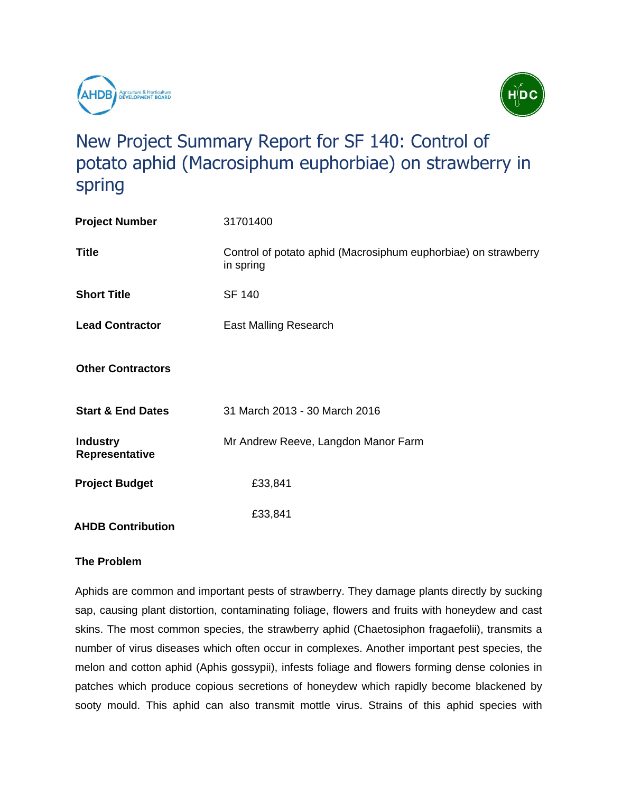



# New Project Summary Report for SF 140: Control of potato aphid (Macrosiphum euphorbiae) on strawberry in spring

| <b>Project Number</b>             | 31701400                                                                    |
|-----------------------------------|-----------------------------------------------------------------------------|
| <b>Title</b>                      | Control of potato aphid (Macrosiphum euphorbiae) on strawberry<br>in spring |
| <b>Short Title</b>                | <b>SF 140</b>                                                               |
| <b>Lead Contractor</b>            | East Malling Research                                                       |
| <b>Other Contractors</b>          |                                                                             |
| <b>Start &amp; End Dates</b>      | 31 March 2013 - 30 March 2016                                               |
| <b>Industry</b><br>Representative | Mr Andrew Reeve, Langdon Manor Farm                                         |
| <b>Project Budget</b>             | £33,841                                                                     |
| <b>AHDB Contribution</b>          | £33,841                                                                     |

# **The Problem**

Aphids are common and important pests of strawberry. They damage plants directly by sucking sap, causing plant distortion, contaminating foliage, flowers and fruits with honeydew and cast skins. The most common species, the strawberry aphid (Chaetosiphon fragaefolii), transmits a number of virus diseases which often occur in complexes. Another important pest species, the melon and cotton aphid (Aphis gossypii), infests foliage and flowers forming dense colonies in patches which produce copious secretions of honeydew which rapidly become blackened by sooty mould. This aphid can also transmit mottle virus. Strains of this aphid species with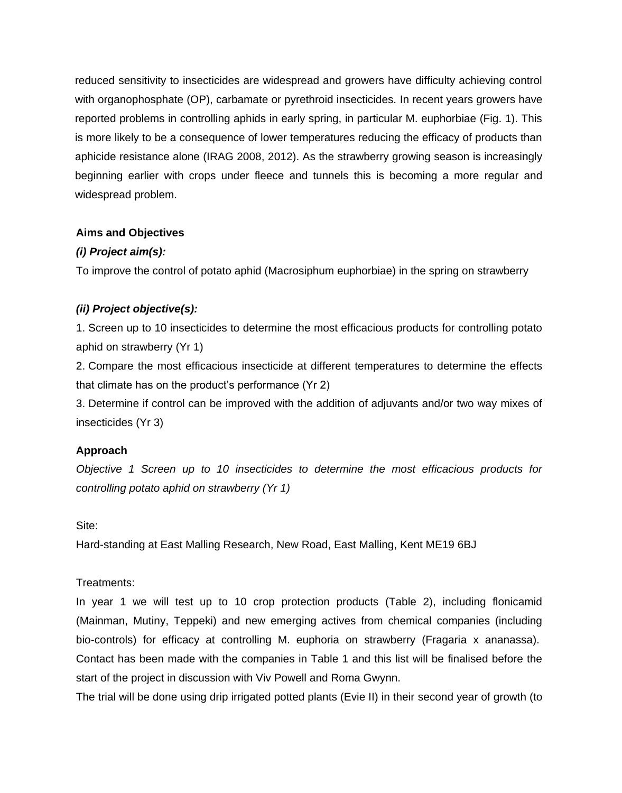reduced sensitivity to insecticides are widespread and growers have difficulty achieving control with organophosphate (OP), carbamate or pyrethroid insecticides. In recent years growers have reported problems in controlling aphids in early spring, in particular M. euphorbiae (Fig. 1). This is more likely to be a consequence of lower temperatures reducing the efficacy of products than aphicide resistance alone (IRAG 2008, 2012). As the strawberry growing season is increasingly beginning earlier with crops under fleece and tunnels this is becoming a more regular and widespread problem.

# **Aims and Objectives**

# *(i) Project aim(s):*

To improve the control of potato aphid (Macrosiphum euphorbiae) in the spring on strawberry

# *(ii) Project objective(s):*

1. Screen up to 10 insecticides to determine the most efficacious products for controlling potato aphid on strawberry (Yr 1)

2. Compare the most efficacious insecticide at different temperatures to determine the effects that climate has on the product's performance (Yr 2)

3. Determine if control can be improved with the addition of adjuvants and/or two way mixes of insecticides (Yr 3)

# **Approach**

*Objective 1 Screen up to 10 insecticides to determine the most efficacious products for controlling potato aphid on strawberry (Yr 1)*

# Site:

Hard-standing at East Malling Research, New Road, East Malling, Kent ME19 6BJ

# Treatments:

In year 1 we will test up to 10 crop protection products (Table 2), including flonicamid (Mainman, Mutiny, Teppeki) and new emerging actives from chemical companies (including bio-controls) for efficacy at controlling M. euphoria on strawberry (Fragaria x ananassa). Contact has been made with the companies in Table 1 and this list will be finalised before the start of the project in discussion with Viv Powell and Roma Gwynn.

The trial will be done using drip irrigated potted plants (Evie II) in their second year of growth (to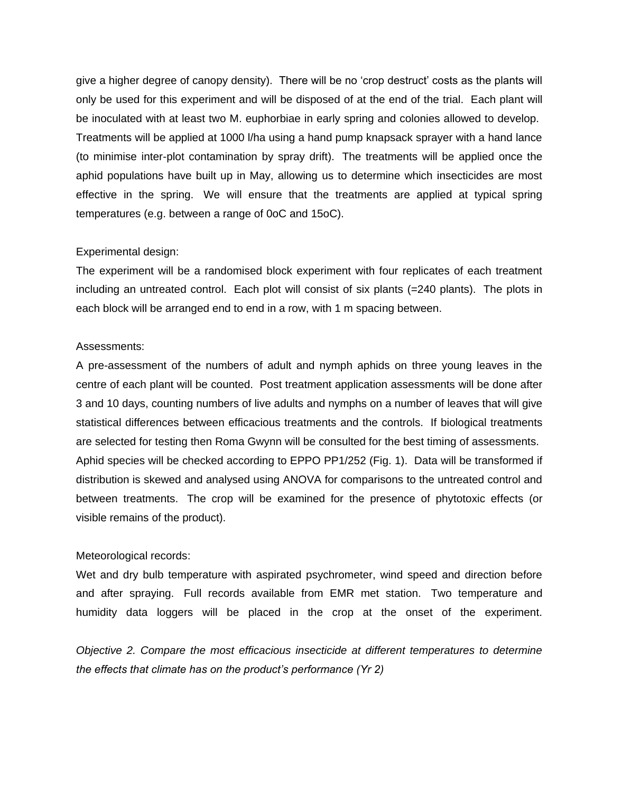give a higher degree of canopy density). There will be no 'crop destruct' costs as the plants will only be used for this experiment and will be disposed of at the end of the trial. Each plant will be inoculated with at least two M. euphorbiae in early spring and colonies allowed to develop. Treatments will be applied at 1000 l/ha using a hand pump knapsack sprayer with a hand lance (to minimise inter-plot contamination by spray drift). The treatments will be applied once the aphid populations have built up in May, allowing us to determine which insecticides are most effective in the spring. We will ensure that the treatments are applied at typical spring temperatures (e.g. between a range of 0oC and 15oC).

#### Experimental design:

The experiment will be a randomised block experiment with four replicates of each treatment including an untreated control. Each plot will consist of six plants (=240 plants). The plots in each block will be arranged end to end in a row, with 1 m spacing between.

#### Assessments:

A pre-assessment of the numbers of adult and nymph aphids on three young leaves in the centre of each plant will be counted. Post treatment application assessments will be done after 3 and 10 days, counting numbers of live adults and nymphs on a number of leaves that will give statistical differences between efficacious treatments and the controls. If biological treatments are selected for testing then Roma Gwynn will be consulted for the best timing of assessments. Aphid species will be checked according to EPPO PP1/252 (Fig. 1). Data will be transformed if distribution is skewed and analysed using ANOVA for comparisons to the untreated control and between treatments. The crop will be examined for the presence of phytotoxic effects (or visible remains of the product).

#### Meteorological records:

Wet and dry bulb temperature with aspirated psychrometer, wind speed and direction before and after spraying. Full records available from EMR met station. Two temperature and humidity data loggers will be placed in the crop at the onset of the experiment.

*Objective 2. Compare the most efficacious insecticide at different temperatures to determine the effects that climate has on the product's performance (Yr 2)*